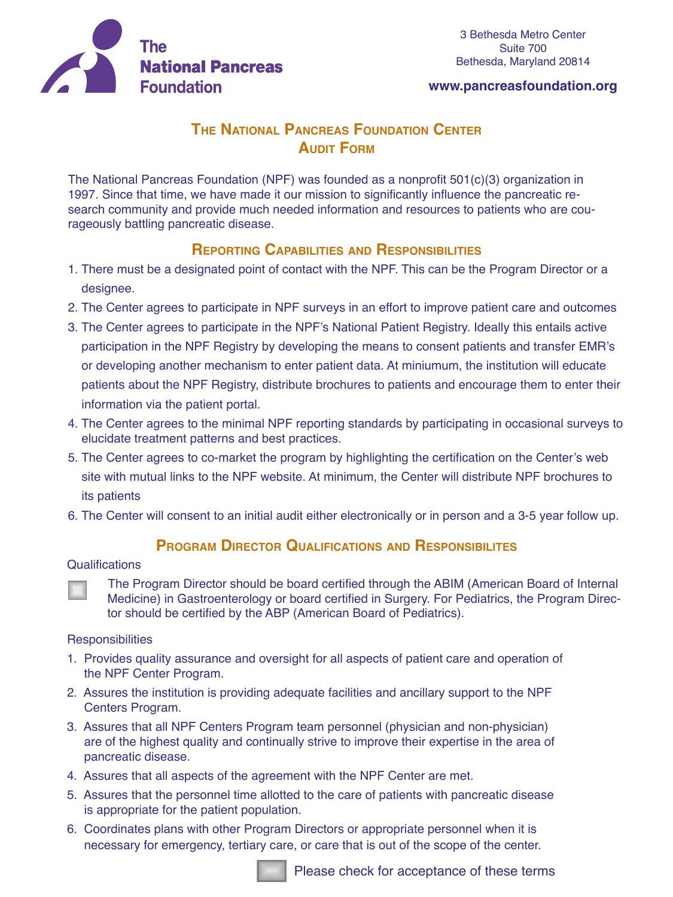

#### **www.pancreasfoundation.org**

# **The National Pancreas Foundation Center AUDIT FORM**

The National Pancreas Foundation (NPF) was founded as a nonprofit 501(c)(3) organization in 1997. Since that time, we have made it our mission to significantly influence the pancreatic research community and provide much needed information and resources to patients who are courageously battling pancreatic disease.

## **Reporting Capabilities and Responsibilities**

- 1. There must be a designated point of contact with the NPF. This can be the Program Director or a designee.
- 2. The Center agrees to participate in NPF surveys in an effort to improve patient care and outcomes
- 3. The Center agrees to participate in the NPF's National Patient Registry. Ideally this entails active participation in the NPF Registry by developing the means to consent patients and transfer EMR's or developing another mechanism to enter patient data. At miniumum, the institution will educate patients about the NPF Registry, distribute brochures to patients and encourage them to enter their information via the patient portal.
- 4. The Center agrees to the minimal NPF reporting standards by participating in occasional surveys to elucidate treatment patterns and best practices.
- 5. The Center agrees to co-market the program by highlighting the certification on the Center's web site with mutual links to the NPF website. At minimum, the Center will distribute NPF brochures to its patients
- 6. The Center will consent to an initial audit either electronically or in person and a 3-5 year follow up.

### **Program Director Qualifications and Responsibilites**

#### **Qualifications**

 The Program Director should be board certified through the ABIM (American Board of Internal Medicine) in Gastroenterology or board certified in Surgery. For Pediatrics, the Program Director should be certified by the ABP (American Board of Pediatrics).

#### **Responsibilities**

- 1. Provides quality assurance and oversight for all aspects of patient care and operation of the NPF Center Program.
- 2. Assures the institution is providing adequate facilities and ancillary support to the NPF Centers Program.
- 3. Assures that all NPF Centers Program team personnel (physician and non-physician) are of the highest quality and continually strive to improve their expertise in the area of pancreatic disease.
- 4. Assures that all aspects of the agreement with the NPF Center are met.
- 5. Assures that the personnel time allotted to the care of patients with pancreatic disease is appropriate for the patient population.
- 6. Coordinates plans with other Program Directors or appropriate personnel when it is necessary for emergency, tertiary care, or care that is out of the scope of the center.

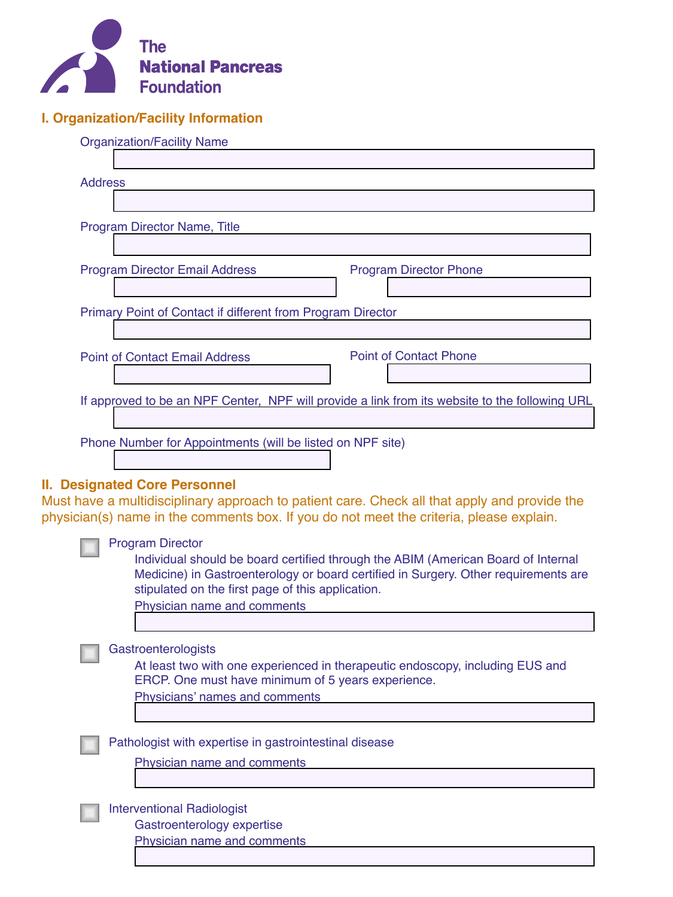

### **I. Organization/Facility Information**

|                                                    | <b>Organization/Facility Name</b>                                                              |  |  |  |
|----------------------------------------------------|------------------------------------------------------------------------------------------------|--|--|--|
|                                                    |                                                                                                |  |  |  |
| <b>Address</b>                                     |                                                                                                |  |  |  |
|                                                    |                                                                                                |  |  |  |
|                                                    | Program Director Name, Title                                                                   |  |  |  |
|                                                    |                                                                                                |  |  |  |
|                                                    | <b>Program Director Email Address</b><br><b>Program Director Phone</b>                         |  |  |  |
|                                                    |                                                                                                |  |  |  |
|                                                    | Primary Point of Contact if different from Program Director                                    |  |  |  |
|                                                    |                                                                                                |  |  |  |
|                                                    | <b>Point of Contact Phone</b><br><b>Point of Contact Email Address</b>                         |  |  |  |
|                                                    |                                                                                                |  |  |  |
|                                                    | If approved to be an NPF Center, NPF will provide a link from its website to the following URL |  |  |  |
|                                                    |                                                                                                |  |  |  |
|                                                    | Phone Number for Appointments (will be listed on NPF site)                                     |  |  |  |
|                                                    |                                                                                                |  |  |  |
|                                                    | <b>II. Designated Core Personnel</b>                                                           |  |  |  |
|                                                    | Must have a multidisciplinary approach to patient care. Check all that apply and provide the   |  |  |  |
|                                                    | physician(s) name in the comments box. If you do not meet the criteria, please explain.        |  |  |  |
|                                                    | <b>Program Director</b>                                                                        |  |  |  |
|                                                    | Individual should be board certified through the ABIM (American Board of Internal              |  |  |  |
|                                                    | Medicine) in Gastroenterology or board certified in Surgery. Other requirements are            |  |  |  |
|                                                    | stipulated on the first page of this application.<br>Physician name and comments               |  |  |  |
|                                                    |                                                                                                |  |  |  |
|                                                    | Gastroenterologists                                                                            |  |  |  |
|                                                    | At least two with one experienced in therapeutic endoscopy, including EUS and                  |  |  |  |
| ERCP. One must have minimum of 5 years experience. |                                                                                                |  |  |  |
|                                                    | Physicians' names and comments                                                                 |  |  |  |
|                                                    |                                                                                                |  |  |  |

Pathologist with expertise in gastrointestinal disease

Physician name and comments

Interventional Radiologist

Gastroenterology expertise

Physician name and comments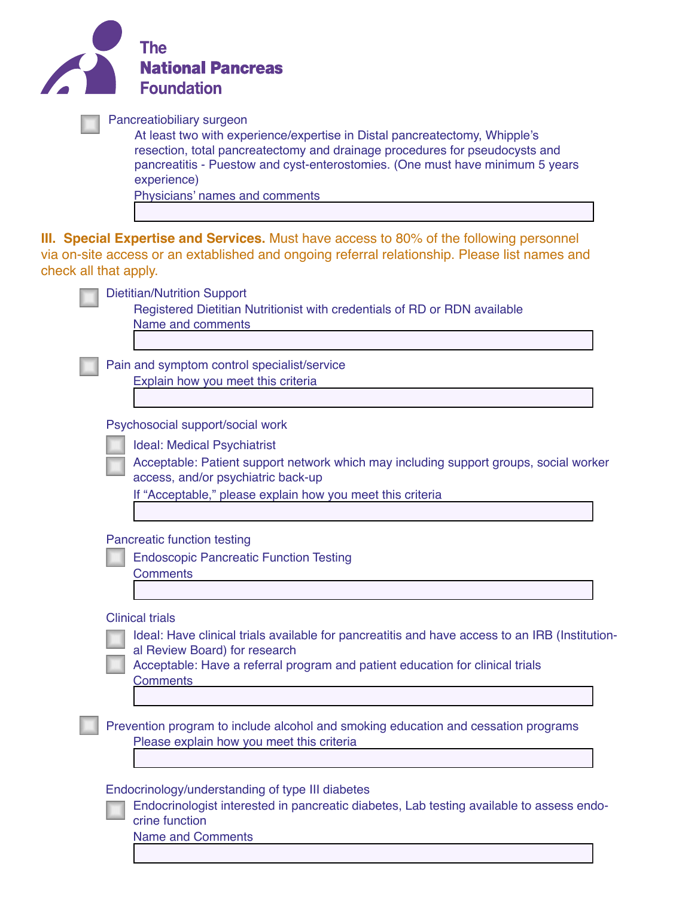| The<br><b>National Pancreas</b><br><b>Foundation</b>                                                                                                                                                                                                                                                                     |  |
|--------------------------------------------------------------------------------------------------------------------------------------------------------------------------------------------------------------------------------------------------------------------------------------------------------------------------|--|
| Pancreatiobiliary surgeon<br>At least two with experience/expertise in Distal pancreatectomy, Whipple's<br>resection, total pancreatectomy and drainage procedures for pseudocysts and<br>pancreatitis - Puestow and cyst-enterostomies. (One must have minimum 5 years<br>experience)<br>Physicians' names and comments |  |
| <b>III. Special Expertise and Services.</b> Must have access to 80% of the following personnel<br>via on-site access or an extablished and ongoing referral relationship. Please list names and<br>check all that apply.                                                                                                 |  |
| <b>Dietitian/Nutrition Support</b><br>Registered Dietitian Nutritionist with credentials of RD or RDN available<br>Name and comments                                                                                                                                                                                     |  |
| Pain and symptom control specialist/service<br>Explain how you meet this criteria                                                                                                                                                                                                                                        |  |
| Psychosocial support/social work<br><b>Ideal: Medical Psychiatrist</b><br>Acceptable: Patient support network which may including support groups, social worker<br>access, and/or psychiatric back-up<br>If "Acceptable," please explain how you meet this criteria                                                      |  |
| <b>Pancreatic function testing</b><br><b>Endoscopic Pancreatic Function Testing</b><br><b>Comments</b>                                                                                                                                                                                                                   |  |
| <b>Clinical trials</b><br>Ideal: Have clinical trials available for pancreatitis and have access to an IRB (Institution-<br>al Review Board) for research<br>Acceptable: Have a referral program and patient education for clinical trials<br><b>Comments</b>                                                            |  |
| Prevention program to include alcohol and smoking education and cessation programs<br>Please explain how you meet this criteria                                                                                                                                                                                          |  |
| Endocrinology/understanding of type III diabetes<br>Endocrinologist interested in pancreatic diabetes, Lab testing available to assess endo-<br>crine function<br><b>Name and Comments</b>                                                                                                                               |  |